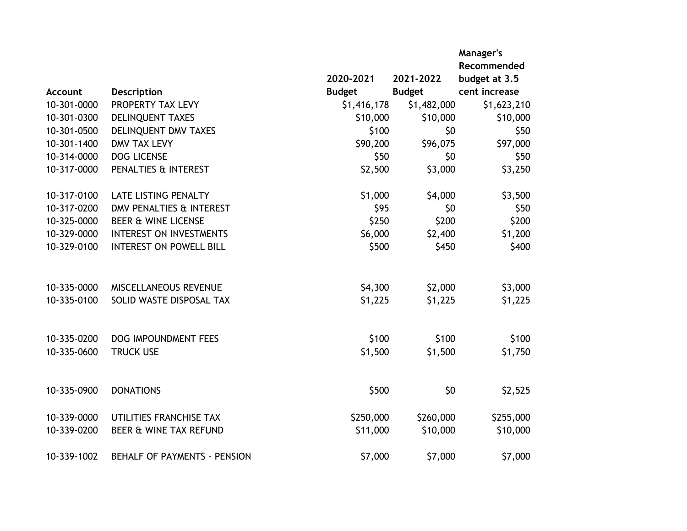|             |                                     |               |               | Manager's<br>Recommended |
|-------------|-------------------------------------|---------------|---------------|--------------------------|
|             |                                     | 2020-2021     | 2021-2022     | budget at 3.5            |
| Account     | <b>Description</b>                  | <b>Budget</b> | <b>Budget</b> | cent increase            |
| 10-301-0000 | PROPERTY TAX LEVY                   | \$1,416,178   | \$1,482,000   | \$1,623,210              |
| 10-301-0300 | DELINQUENT TAXES                    | \$10,000      | \$10,000      | \$10,000                 |
| 10-301-0500 | DELINQUENT DMV TAXES                | \$100         | \$0           | \$50                     |
| 10-301-1400 | <b>DMV TAX LEVY</b>                 | \$90,200      | \$96,075      | \$97,000                 |
| 10-314-0000 | <b>DOG LICENSE</b>                  | \$50          | \$0           | \$50                     |
| 10-317-0000 | PENALTIES & INTEREST                | \$2,500       | \$3,000       | \$3,250                  |
| 10-317-0100 | <b>LATE LISTING PENALTY</b>         | \$1,000       | \$4,000       | \$3,500                  |
| 10-317-0200 | DMV PENALTIES & INTEREST            | \$95          | \$0           | \$50                     |
| 10-325-0000 | <b>BEER &amp; WINE LICENSE</b>      | \$250         | \$200         | \$200                    |
| 10-329-0000 | <b>INTEREST ON INVESTMENTS</b>      | \$6,000       | \$2,400       | \$1,200                  |
| 10-329-0100 | <b>INTEREST ON POWELL BILL</b>      | \$500         | \$450         | \$400                    |
| 10-335-0000 | MISCELLANEOUS REVENUE               | \$4,300       | \$2,000       | \$3,000                  |
| 10-335-0100 | SOLID WASTE DISPOSAL TAX            | \$1,225       | \$1,225       | \$1,225                  |
| 10-335-0200 | <b>DOG IMPOUNDMENT FEES</b>         | \$100         | \$100         | \$100                    |
| 10-335-0600 | <b>TRUCK USE</b>                    | \$1,500       | \$1,500       | \$1,750                  |
| 10-335-0900 | <b>DONATIONS</b>                    | \$500         | \$0           | \$2,525                  |
| 10-339-0000 | UTILITIES FRANCHISE TAX             | \$250,000     | \$260,000     | \$255,000                |
| 10-339-0200 | BEER & WINE TAX REFUND              | \$11,000      | \$10,000      | \$10,000                 |
| 10-339-1002 | <b>BEHALF OF PAYMENTS - PENSION</b> | \$7,000       | \$7,000       | \$7,000                  |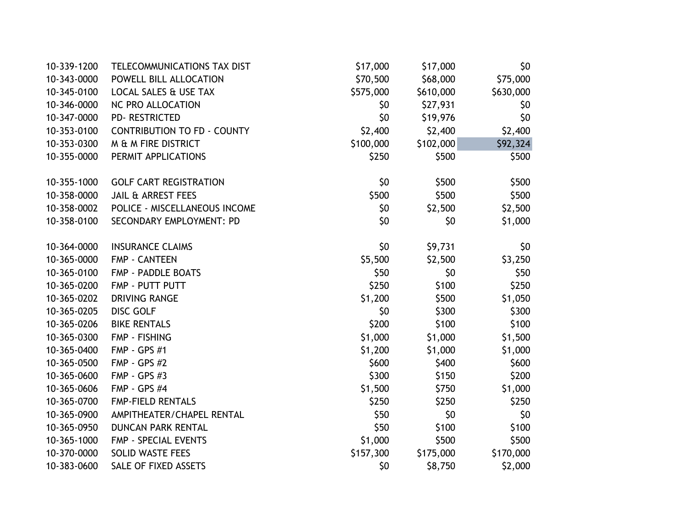| 10-339-1200 | TELECOMMUNICATIONS TAX DIST        | \$17,000  | \$17,000  | \$0       |
|-------------|------------------------------------|-----------|-----------|-----------|
| 10-343-0000 | POWELL BILL ALLOCATION             | \$70,500  | \$68,000  | \$75,000  |
| 10-345-0100 | LOCAL SALES & USE TAX              | \$575,000 | \$610,000 | \$630,000 |
| 10-346-0000 | NC PRO ALLOCATION                  | \$0       | \$27,931  | \$0       |
| 10-347-0000 | <b>PD- RESTRICTED</b>              | \$0       | \$19,976  | \$0       |
| 10-353-0100 | <b>CONTRIBUTION TO FD - COUNTY</b> | \$2,400   | \$2,400   | \$2,400   |
| 10-353-0300 | M & M FIRE DISTRICT                | \$100,000 | \$102,000 | \$92,324  |
| 10-355-0000 | PERMIT APPLICATIONS                | \$250     | \$500     | \$500     |
| 10-355-1000 | <b>GOLF CART REGISTRATION</b>      | \$0       | \$500     | \$500     |
| 10-358-0000 | <b>JAIL &amp; ARREST FEES</b>      | \$500     | \$500     | \$500     |
| 10-358-0002 | POLICE - MISCELLANEOUS INCOME      | \$0       | \$2,500   | \$2,500   |
| 10-358-0100 | SECONDARY EMPLOYMENT: PD           | \$0       | \$0       | \$1,000   |
| 10-364-0000 | <b>INSURANCE CLAIMS</b>            | \$0       | \$9,731   | \$0       |
| 10-365-0000 | <b>FMP - CANTEEN</b>               | \$5,500   | \$2,500   | \$3,250   |
| 10-365-0100 | FMP - PADDLE BOATS                 | \$50      | \$0       | \$50      |
| 10-365-0200 | FMP - PUTT PUTT                    | \$250     | \$100     | \$250     |
| 10-365-0202 | <b>DRIVING RANGE</b>               | \$1,200   | \$500     | \$1,050   |
| 10-365-0205 | <b>DISC GOLF</b>                   | \$0       | \$300     | \$300     |
| 10-365-0206 | <b>BIKE RENTALS</b>                | \$200     | \$100     | \$100     |
| 10-365-0300 | <b>FMP - FISHING</b>               | \$1,000   | \$1,000   | \$1,500   |
| 10-365-0400 | <b>FMP - GPS #1</b>                | \$1,200   | \$1,000   | \$1,000   |
| 10-365-0500 | <b>FMP - GPS #2</b>                | \$600     | \$400     | \$600     |
| 10-365-0600 | <b>FMP - GPS #3</b>                | \$300     | \$150     | \$200     |
| 10-365-0606 | <b>FMP - GPS #4</b>                | \$1,500   | \$750     | \$1,000   |
| 10-365-0700 | <b>FMP-FIELD RENTALS</b>           | \$250     | \$250     | \$250     |
| 10-365-0900 | AMPITHEATER/CHAPEL RENTAL          | \$50      | \$0       | \$0       |
| 10-365-0950 | <b>DUNCAN PARK RENTAL</b>          | \$50      | \$100     | \$100     |
| 10-365-1000 | FMP - SPECIAL EVENTS               | \$1,000   | \$500     | \$500     |
| 10-370-0000 | <b>SOLID WASTE FEES</b>            | \$157,300 | \$175,000 | \$170,000 |
| 10-383-0600 | SALE OF FIXED ASSETS               | \$0       | \$8,750   | \$2,000   |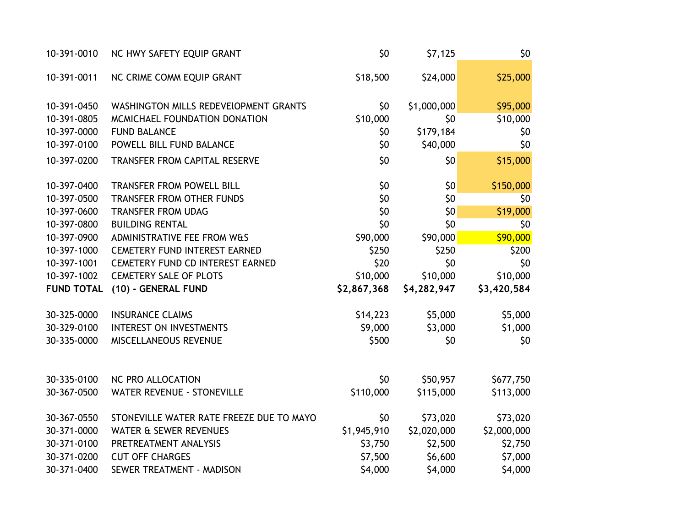| 10-391-0010       | NC HWY SAFETY EQUIP GRANT                | \$0         | \$7,125     | \$0         |
|-------------------|------------------------------------------|-------------|-------------|-------------|
| 10-391-0011       | NC CRIME COMM EQUIP GRANT                | \$18,500    | \$24,000    | \$25,000    |
| 10-391-0450       | WASHINGTON MILLS REDEVELOPMENT GRANTS    | \$0         | \$1,000,000 | \$95,000    |
| 10-391-0805       | MCMICHAEL FOUNDATION DONATION            | \$10,000    | \$0         | \$10,000    |
| 10-397-0000       | <b>FUND BALANCE</b>                      | \$0         | \$179,184   | \$0         |
| 10-397-0100       | POWELL BILL FUND BALANCE                 | \$0         | \$40,000    | \$0         |
| 10-397-0200       | TRANSFER FROM CAPITAL RESERVE            | \$0         | \$0         | \$15,000    |
| 10-397-0400       | <b>TRANSFER FROM POWELL BILL</b>         | \$0         | \$0         | \$150,000   |
| 10-397-0500       | <b>TRANSFER FROM OTHER FUNDS</b>         | \$0         | \$0         | \$0         |
| 10-397-0600       | <b>TRANSFER FROM UDAG</b>                | \$0         | \$0         | \$19,000    |
| 10-397-0800       | <b>BUILDING RENTAL</b>                   | \$0         | \$0         | \$0         |
| 10-397-0900       | <b>ADMINISTRATIVE FEE FROM W&amp;S</b>   | \$90,000    | \$90,000    | \$90,000    |
| 10-397-1000       | <b>CEMETERY FUND INTEREST EARNED</b>     | \$250       | \$250       | \$200       |
| 10-397-1001       | CEMETERY FUND CD INTEREST EARNED         | \$20        | \$0         | \$0         |
| 10-397-1002       | <b>CEMETERY SALE OF PLOTS</b>            | \$10,000    | \$10,000    | \$10,000    |
| <b>FUND TOTAL</b> | (10) - GENERAL FUND                      | \$2,867,368 | \$4,282,947 | \$3,420,584 |
| 30-325-0000       | <b>INSURANCE CLAIMS</b>                  | \$14,223    | \$5,000     | \$5,000     |
| 30-329-0100       | INTEREST ON INVESTMENTS                  | \$9,000     | \$3,000     | \$1,000     |
| 30-335-0000       | MISCELLANEOUS REVENUE                    | \$500       | \$0         | \$0         |
| 30-335-0100       | NC PRO ALLOCATION                        | \$0         | \$50,957    | \$677,750   |
| 30-367-0500       | <b>WATER REVENUE - STONEVILLE</b>        | \$110,000   | \$115,000   | \$113,000   |
| 30-367-0550       | STONEVILLE WATER RATE FREEZE DUE TO MAYO | \$0         | \$73,020    | \$73,020    |
| 30-371-0000       | <b>WATER &amp; SEWER REVENUES</b>        | \$1,945,910 | \$2,020,000 | \$2,000,000 |
| 30-371-0100       | PRETREATMENT ANALYSIS                    | \$3,750     | \$2,500     | \$2,750     |
| 30-371-0200       | <b>CUT OFF CHARGES</b>                   | \$7,500     | \$6,600     | \$7,000     |
| 30-371-0400       | SEWER TREATMENT - MADISON                | \$4,000     | \$4,000     | \$4,000     |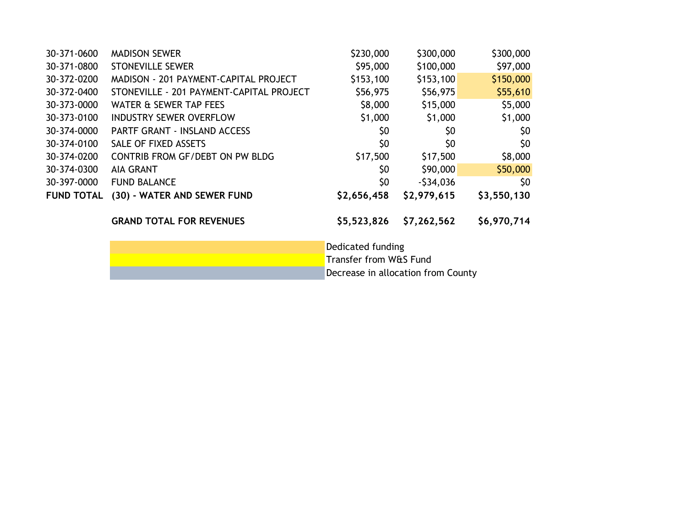| <b>MADISON SEWER</b>                     | \$230,000   | \$300,000   | \$300,000   |
|------------------------------------------|-------------|-------------|-------------|
| <b>STONEVILLE SEWER</b>                  | \$95,000    | \$100,000   | \$97,000    |
| MADISON - 201 PAYMENT-CAPITAL PROJECT    | \$153,100   | \$153,100   | \$150,000   |
| STONEVILLE - 201 PAYMENT-CAPITAL PROJECT | \$56,975    | \$56,975    | \$55,610    |
| WATER & SEWER TAP FEES                   | \$8,000     | \$15,000    | \$5,000     |
| <b>INDUSTRY SEWER OVERFLOW</b>           | \$1,000     | \$1,000     | \$1,000     |
| <b>PARTF GRANT - INSLAND ACCESS</b>      | \$0         | \$0         | \$0         |
| SALE OF FIXED ASSETS                     | \$0         | \$0         | \$0         |
| CONTRIB FROM GF/DEBT ON PW BLDG          | \$17,500    | \$17,500    | \$8,000     |
| <b>AIA GRANT</b>                         | \$0         | \$90,000    | \$50,000    |
| <b>FUND BALANCE</b>                      | \$0         | $-534,036$  | \$0         |
| (30) - WATER AND SEWER FUND              | \$2,656,458 | \$2,979,615 | \$3,550,130 |
| <b>GRAND TOTAL FOR REVENUES</b>          | \$5,523,826 | \$7,262,562 | \$6,970,714 |
|                                          |             |             |             |

Dedicated funding Transfer from W&S Fund Decrease in allocation from County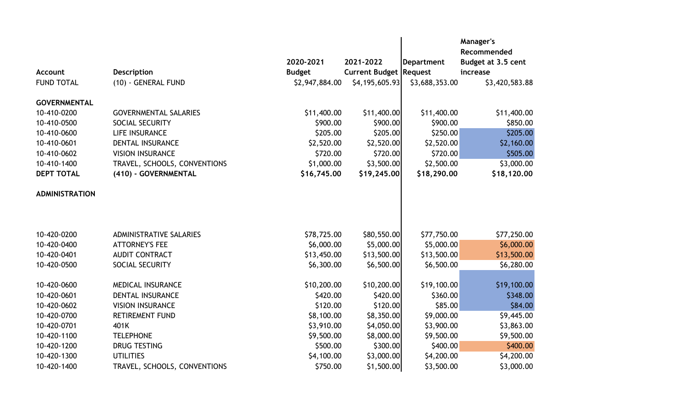|                       |                                |                |                               |                | Manager's<br>Recommended |
|-----------------------|--------------------------------|----------------|-------------------------------|----------------|--------------------------|
|                       |                                | 2020-2021      | 2021-2022                     | Department     | Budget at 3.5 cent       |
| <b>Account</b>        | <b>Description</b>             | <b>Budget</b>  | <b>Current Budget Request</b> |                | increase                 |
| <b>FUND TOTAL</b>     | (10) - GENERAL FUND            | \$2,947,884.00 | \$4,195,605.93                | \$3,688,353.00 | \$3,420,583.88           |
| <b>GOVERNMENTAL</b>   |                                |                |                               |                |                          |
| 10-410-0200           | <b>GOVERNMENTAL SALARIES</b>   | \$11,400.00    | \$11,400.00                   | \$11,400.00    | \$11,400.00              |
| 10-410-0500           | SOCIAL SECURITY                | \$900.00       | \$900.00                      | \$900.00       | \$850.00                 |
| 10-410-0600           | LIFE INSURANCE                 | \$205.00       | \$205.00                      | \$250.00       | \$205.00                 |
| 10-410-0601           | DENTAL INSURANCE               | \$2,520.00     | \$2,520.00                    | \$2,520.00     | \$2,160.00               |
| 10-410-0602           | <b>VISION INSURANCE</b>        | \$720.00       | \$720.00                      | \$720.00       | \$505.00                 |
| 10-410-1400           | TRAVEL, SCHOOLS, CONVENTIONS   | \$1,000.00     | \$3,500.00                    | \$2,500.00     | \$3,000.00               |
| <b>DEPT TOTAL</b>     | (410) - GOVERNMENTAL           | \$16,745.00    | \$19,245.00                   | \$18,290.00    | \$18,120.00              |
| <b>ADMINISTRATION</b> |                                |                |                               |                |                          |
|                       |                                |                |                               |                |                          |
| 10-420-0200           | <b>ADMINISTRATIVE SALARIES</b> | \$78,725.00    | \$80,550.00                   | \$77,750.00    | \$77,250.00              |
| 10-420-0400           | <b>ATTORNEY'S FEE</b>          | \$6,000.00     | \$5,000.00                    | \$5,000.00     | \$6,000.00               |
| 10-420-0401           | <b>AUDIT CONTRACT</b>          | \$13,450.00    | \$13,500.00                   | \$13,500.00    | \$13,500.00              |
| 10-420-0500           | SOCIAL SECURITY                | \$6,300.00     | \$6,500.00                    | \$6,500.00     | \$6,280.00               |
| 10-420-0600           | <b>MEDICAL INSURANCE</b>       | \$10,200.00    | \$10,200.00                   | \$19,100.00    | \$19,100.00              |
| 10-420-0601           | <b>DENTAL INSURANCE</b>        | \$420.00       | \$420.00                      | \$360.00       | \$348.00                 |
| 10-420-0602           | <b>VISION INSURANCE</b>        | \$120.00       | \$120.00                      | \$85.00        | \$84.00                  |
| 10-420-0700           | <b>RETIREMENT FUND</b>         | \$8,100.00     | \$8,350.00                    | \$9,000.00     | \$9,445.00               |
| 10-420-0701           | 401K                           | \$3,910.00     | \$4,050.00                    | \$3,900.00     | \$3,863.00               |
| 10-420-1100           | <b>TELEPHONE</b>               | \$9,500.00     | \$8,000.00                    | \$9,500.00     | \$9,500.00               |
| 10-420-1200           | <b>DRUG TESTING</b>            | \$500.00       | \$300.00                      | \$400.00       | \$400.00                 |
| 10-420-1300           | <b>UTILITIES</b>               | \$4,100.00     | \$3,000.00                    | \$4,200.00     | \$4,200.00               |
| 10-420-1400           | TRAVEL, SCHOOLS, CONVENTIONS   | \$750.00       | \$1,500.00                    | \$3,500.00     | \$3,000.00               |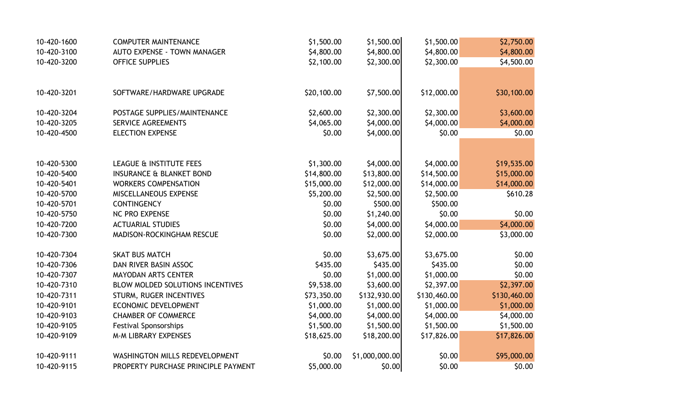| 10-420-1600 | <b>COMPUTER MAINTENANCE</b>         | \$1,500.00  | \$1,500.00     | \$1,500.00   | \$2,750.00   |
|-------------|-------------------------------------|-------------|----------------|--------------|--------------|
| 10-420-3100 | <b>AUTO EXPENSE - TOWN MANAGER</b>  | \$4,800.00  | \$4,800.00     | \$4,800.00   | \$4,800.00   |
| 10-420-3200 | <b>OFFICE SUPPLIES</b>              | \$2,100.00  | \$2,300.00     | \$2,300.00   | \$4,500.00   |
|             |                                     |             |                |              |              |
| 10-420-3201 | SOFTWARE/HARDWARE UPGRADE           | \$20,100.00 | \$7,500.00     | \$12,000.00  | \$30,100.00  |
| 10-420-3204 | POSTAGE SUPPLIES/MAINTENANCE        | \$2,600.00  | \$2,300.00     | \$2,300.00   | \$3,600.00   |
| 10-420-3205 | <b>SERVICE AGREEMENTS</b>           | \$4,065.00  | \$4,000.00     | \$4,000.00   | \$4,000.00   |
| 10-420-4500 | <b>ELECTION EXPENSE</b>             | \$0.00      | \$4,000.00     | \$0.00       | \$0.00       |
|             |                                     |             |                |              |              |
| 10-420-5300 | LEAGUE & INSTITUTE FEES             | \$1,300.00  | \$4,000.00     | \$4,000.00   | \$19,535.00  |
| 10-420-5400 | <b>INSURANCE &amp; BLANKET BOND</b> | \$14,800.00 | \$13,800.00    | \$14,500.00  | \$15,000.00  |
| 10-420-5401 | <b>WORKERS COMPENSATION</b>         | \$15,000.00 | \$12,000.00    | \$14,000.00  | \$14,000.00  |
| 10-420-5700 | MISCELLANEOUS EXPENSE               | \$5,200.00  | \$2,500.00     | \$2,500.00   | \$610.28     |
| 10-420-5701 | <b>CONTINGENCY</b>                  | \$0.00      | \$500.00       | \$500.00     |              |
| 10-420-5750 | <b>NC PRO EXPENSE</b>               | \$0.00      | \$1,240.00     | \$0.00       | \$0.00       |
| 10-420-7200 | <b>ACTUARIAL STUDIES</b>            | \$0.00      | \$4,000.00     | \$4,000.00]  | \$4,000.00   |
| 10-420-7300 | MADISON-ROCKINGHAM RESCUE           | \$0.00      | \$2,000.00     | \$2,000.00   | \$3,000.00   |
| 10-420-7304 | <b>SKAT BUS MATCH</b>               | \$0.00      | \$3,675.00     | \$3,675.00   | \$0.00       |
| 10-420-7306 | DAN RIVER BASIN ASSOC               | \$435.00    | \$435.00       | \$435.00     | \$0.00       |
| 10-420-7307 | <b>MAYODAN ARTS CENTER</b>          | \$0.00      | \$1,000.00     | \$1,000.00   | \$0.00       |
| 10-420-7310 | BLOW MOLDED SOLUTIONS INCENTIVES    | \$9,538.00  | \$3,600.00     | \$2,397.00   | \$2,397.00   |
| 10-420-7311 | STURM, RUGER INCENTIVES             | \$73,350.00 | \$132,930.00   | \$130,460.00 | \$130,460.00 |
| 10-420-9101 | ECONOMIC DEVELOPMENT                | \$1,000.00  | \$1,000.00     | \$1,000.00   | \$1,000.00   |
| 10-420-9103 | <b>CHAMBER OF COMMERCE</b>          | \$4,000.00  | \$4,000.00     | \$4,000.00   | \$4,000.00   |
| 10-420-9105 | <b>Festival Sponsorships</b>        | \$1,500.00  | \$1,500.00     | \$1,500.00   | \$1,500.00   |
| 10-420-9109 | <b>M-M LIBRARY EXPENSES</b>         | \$18,625.00 | \$18,200.00    | \$17,826.00  | \$17,826.00  |
| 10-420-9111 | WASHINGTON MILLS REDEVELOPMENT      | \$0.00      | \$1,000,000.00 | \$0.00       | \$95,000.00  |
| 10-420-9115 | PROPERTY PURCHASE PRINCIPLE PAYMENT | \$5,000.00  | \$0.00         | \$0.00       | \$0.00       |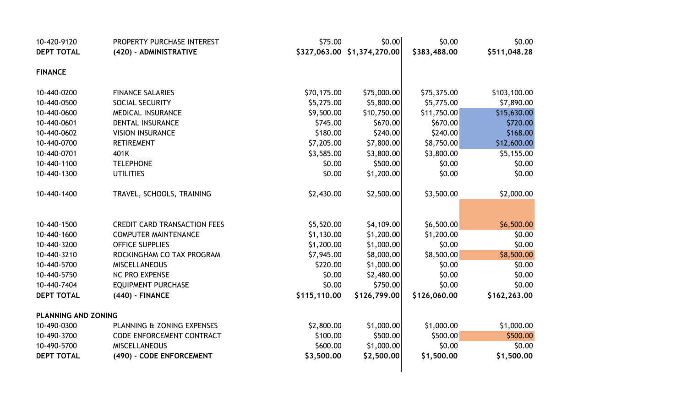| 10-420-9120                | PROPERTY PURCHASE INTEREST          | \$75.00      | \$0.00                      | \$0.00       | \$0.00       |
|----------------------------|-------------------------------------|--------------|-----------------------------|--------------|--------------|
| <b>DEPT TOTAL</b>          | (420) - ADMINISTRATIVE              |              | \$327,063.00 \$1,374,270.00 | \$383,488.00 | \$511,048.28 |
| <b>FINANCE</b>             |                                     |              |                             |              |              |
| 10-440-0200                | <b>FINANCE SALARIES</b>             | \$70,175.00  | \$75,000.00                 | \$75,375.00  | \$103,100.00 |
| 10-440-0500                | SOCIAL SECURITY                     | \$5,275.00   | \$5,800.00                  | \$5,775.00   | \$7,890.00   |
| 10-440-0600                | MEDICAL INSURANCE                   | \$9,500.00   | \$10,750.00                 | \$11,750.00  | \$15,630.00  |
| 10-440-0601                | DENTAL INSURANCE                    | \$745.00     | \$670.00                    | \$670.00     | \$720.00     |
| 10-440-0602                | <b>VISION INSURANCE</b>             | \$180.00     | \$240.00                    | \$240.00     | \$168.00     |
| 10-440-0700                | <b>RETIREMENT</b>                   | \$7,205.00   | \$7,800.00                  | \$8,750.00   | \$12,600.00  |
| 10-440-0701                | 401K                                | \$3,585.00   | \$3,800.00                  | \$3,800.00   | \$5,155.00   |
| 10-440-1100                | <b>TELEPHONE</b>                    | \$0.00       | \$500.00                    | \$0.00       | \$0.00       |
| 10-440-1300                | <b>UTILITIES</b>                    | \$0.00       | \$1,200.00                  | \$0.00       | \$0.00       |
| 10-440-1400                | TRAVEL, SCHOOLS, TRAINING           | \$2,430.00   | \$2,500.00                  | \$3,500.00   | \$2,000.00   |
|                            |                                     |              |                             |              |              |
| 10-440-1500                | <b>CREDIT CARD TRANSACTION FEES</b> | \$5,520.00   | \$4,109.00                  | \$6,500.00   | \$6,500.00   |
| 10-440-1600                | <b>COMPUTER MAINTENANCE</b>         | \$1,130.00   | \$1,200.00                  | \$1,200.00   | \$0.00       |
| 10-440-3200                | <b>OFFICE SUPPLIES</b>              | \$1,200.00   | \$1,000.00                  | \$0.00       | \$0.00       |
| 10-440-3210                | ROCKINGHAM CO TAX PROGRAM           | \$7,945.00   | \$8,000.00                  | \$8,500.00   | \$8,500.00   |
| 10-440-5700                | <b>MISCELLANEOUS</b>                | \$220.00     | \$1,000.00                  | \$0.00       | \$0.00       |
| 10-440-5750                | NC PRO EXPENSE                      | \$0.00       | \$2,480.00                  | \$0.00       | \$0.00       |
| 10-440-7404                | <b>EQUIPMENT PURCHASE</b>           | \$0.00       | \$750.00                    | \$0.00       | \$0.00       |
| <b>DEPT TOTAL</b>          | (440) - FINANCE                     | \$115,110.00 | \$126,799.00                | \$126,060.00 | \$162,263.00 |
| <b>PLANNING AND ZONING</b> |                                     |              |                             |              |              |
| 10-490-0300                | PLANNING & ZONING EXPENSES          | \$2,800.00   | \$1,000.00                  | \$1,000.00   | \$1,000.00   |
| 10-490-3700                | CODE ENFORCEMENT CONTRACT           | \$100.00     | \$500.00                    | \$500.00     | \$500.00     |
| 10-490-5700                | <b>MISCELLANEOUS</b>                | \$600.00     | \$1,000.00                  | \$0.00       | \$0.00       |
| <b>DEPT TOTAL</b>          | (490) - CODE ENFORCEMENT            | \$3,500.00   | \$2,500.00                  | \$1,500.00   | \$1,500.00   |
|                            |                                     |              |                             |              |              |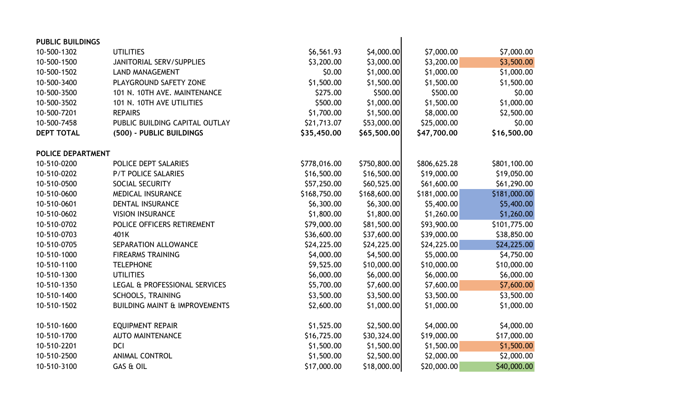| <b>PUBLIC BUILDINGS</b>  |                                          |              |              |              |              |
|--------------------------|------------------------------------------|--------------|--------------|--------------|--------------|
| 10-500-1302              | <b>UTILITIES</b>                         | \$6,561.93   | \$4,000.00   | \$7,000.00   | \$7,000.00   |
| 10-500-1500              | <b>JANITORIAL SERV/SUPPLIES</b>          | \$3,200.00   | \$3,000.00   | \$3,200.00   | \$3,500.00   |
| 10-500-1502              | <b>LAND MANAGEMENT</b>                   | \$0.00       | \$1,000.00   | \$1,000.00   | \$1,000.00   |
| 10-500-3400              | PLAYGROUND SAFETY ZONE                   | \$1,500.00   | \$1,500.00   | \$1,500.00   | \$1,500.00   |
| 10-500-3500              | 101 N. 10TH AVE. MAINTENANCE             | \$275.00     | \$500.00     | \$500.00     | \$0.00       |
| 10-500-3502              | 101 N. 10TH AVE UTILITIES                | \$500.00     | \$1,000.00   | \$1,500.00   | \$1,000.00   |
| 10-500-7201              | <b>REPAIRS</b>                           | \$1,700.00   | \$1,500.00   | \$8,000.00   | \$2,500.00   |
| 10-500-7458              | PUBLIC BUILDING CAPITAL OUTLAY           | \$21,713.07  | \$53,000.00  | \$25,000.00  | \$0.00       |
| <b>DEPT TOTAL</b>        | (500) - PUBLIC BUILDINGS                 | \$35,450.00  | \$65,500.00  | \$47,700.00  | \$16,500.00  |
| <b>POLICE DEPARTMENT</b> |                                          |              |              |              |              |
| 10-510-0200              | POLICE DEPT SALARIES                     | \$778,016.00 | \$750,800.00 | \$806,625.28 | \$801,100.00 |
| 10-510-0202              | <b>P/T POLICE SALARIES</b>               | \$16,500.00  | \$16,500.00  | \$19,000.00  | \$19,050.00  |
| 10-510-0500              | SOCIAL SECURITY                          | \$57,250.00  | \$60,525.00  | \$61,600.00  | \$61,290.00  |
| 10-510-0600              | <b>MEDICAL INSURANCE</b>                 | \$168,750.00 | \$168,600.00 | \$181,000.00 | \$181,000.00 |
| 10-510-0601              | DENTAL INSURANCE                         | \$6,300.00   | \$6,300.00   | \$5,400.00   | \$5,400.00   |
| 10-510-0602              | <b>VISION INSURANCE</b>                  | \$1,800.00   | \$1,800.00   | \$1,260.00   | \$1,260.00   |
| 10-510-0702              | POLICE OFFICERS RETIREMENT               | \$79,000.00  | \$81,500.00  | \$93,900.00  | \$101,775.00 |
| 10-510-0703              | 401K                                     | \$36,600.00  | \$37,600.00  | \$39,000.00  | \$38,850.00  |
| 10-510-0705              | SEPARATION ALLOWANCE                     | \$24,225.00  | \$24,225.00  | \$24,225.00  | \$24,225.00  |
| 10-510-1000              | <b>FIREARMS TRAINING</b>                 | \$4,000.00   | \$4,500.00   | \$5,000.00   | \$4,750.00   |
| 10-510-1100              | <b>TELEPHONE</b>                         | \$9,525.00   | \$10,000.00  | \$10,000.00  | \$10,000.00  |
| 10-510-1300              | <b>UTILITIES</b>                         | \$6,000.00   | \$6,000.00   | \$6,000.00   | \$6,000.00   |
| 10-510-1350              | LEGAL & PROFESSIONAL SERVICES            | \$5,700.00   | \$7,600.00   | \$7,600.00   | \$7,600.00   |
| 10-510-1400              | <b>SCHOOLS, TRAINING</b>                 | \$3,500.00   | \$3,500.00   | \$3,500.00   | \$3,500.00   |
| 10-510-1502              | <b>BUILDING MAINT &amp; IMPROVEMENTS</b> | \$2,600.00   | \$1,000.00   | \$1,000.00   | \$1,000.00   |
| 10-510-1600              | <b>EQUIPMENT REPAIR</b>                  | \$1,525.00   | \$2,500.00   | \$4,000.00   | \$4,000.00   |
| 10-510-1700              | <b>AUTO MAINTENANCE</b>                  | \$16,725.00  | \$30,324.00  | \$19,000.00  | \$17,000.00  |
| 10-510-2201              | <b>DCI</b>                               | \$1,500.00   | \$1,500.00   | \$1,500.00   | \$1,500.00   |
| 10-510-2500              | <b>ANIMAL CONTROL</b>                    | \$1,500.00   | \$2,500.00   | \$2,000.00   | \$2,000.00   |
| 10-510-3100              | GAS & OIL                                | \$17,000.00  | \$18,000.00  | \$20,000.00  | \$40,000.00  |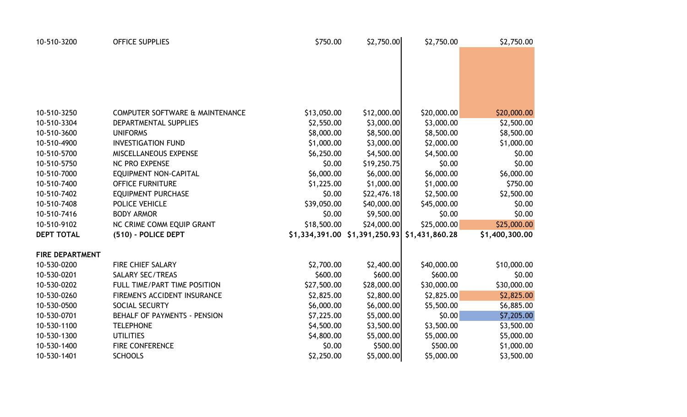| 10-510-3200            | <b>OFFICE SUPPLIES</b>              | \$750.00    | \$2,750.00                                      | \$2,750.00   | \$2,750.00     |
|------------------------|-------------------------------------|-------------|-------------------------------------------------|--------------|----------------|
|                        |                                     |             |                                                 |              |                |
|                        |                                     |             |                                                 |              |                |
|                        |                                     |             |                                                 |              |                |
|                        |                                     |             |                                                 |              |                |
|                        |                                     |             |                                                 |              |                |
| 10-510-3250            | COMPUTER SOFTWARE & MAINTENANCE     | \$13,050.00 | \$12,000.00                                     | \$20,000.00  | \$20,000.00    |
| 10-510-3304            | DEPARTMENTAL SUPPLIES               | \$2,550.00  | \$3,000.00                                      | \$3,000.00   | \$2,500.00     |
| 10-510-3600            | <b>UNIFORMS</b>                     | \$8,000.00  | \$8,500.00                                      | \$8,500.00   | \$8,500.00     |
| 10-510-4900            | <b>INVESTIGATION FUND</b>           | \$1,000.00  | \$3,000.00                                      | \$2,000.00   | \$1,000.00     |
| 10-510-5700            | MISCELLANEOUS EXPENSE               | \$6,250.00  | \$4,500.00                                      | \$4,500.00   | \$0.00         |
| 10-510-5750            | <b>NC PRO EXPENSE</b>               | \$0.00      | \$19,250.75                                     | \$0.00       | \$0.00         |
| 10-510-7000            | <b>EQUIPMENT NON-CAPITAL</b>        | \$6,000.00  | \$6,000.00                                      | \$6,000.00   | \$6,000.00     |
| 10-510-7400            | <b>OFFICE FURNITURE</b>             | \$1,225.00  | \$1,000.00                                      | \$1,000.00   | \$750.00       |
| 10-510-7402            | <b>EQUIPMENT PURCHASE</b>           | \$0.00      | \$22,476.18                                     | \$2,500.00   | \$2,500.00     |
| 10-510-7408            | POLICE VEHICLE                      | \$39,050.00 | \$40,000.00                                     | \$45,000.00  | \$0.00         |
| 10-510-7416            | <b>BODY ARMOR</b>                   | \$0.00      | \$9,500.00                                      | \$0.00       | \$0.00         |
| 10-510-9102            | NC CRIME COMM EQUIP GRANT           | \$18,500.00 | \$24,000.00                                     | \$25,000.00] | \$25,000.00    |
| <b>DEPT TOTAL</b>      | (510) - POLICE DEPT                 |             | $$1,334,391.00$ $$1,391,250.93$ $$1,431,860.28$ |              | \$1,400,300.00 |
| <b>FIRE DEPARTMENT</b> |                                     |             |                                                 |              |                |
| 10-530-0200            | <b>FIRE CHIEF SALARY</b>            | \$2,700.00  | \$2,400.00                                      | \$40,000.00  | \$10,000.00    |
| 10-530-0201            | <b>SALARY SEC/TREAS</b>             | \$600.00    | \$600.00                                        | \$600.00     | \$0.00         |
| 10-530-0202            | FULL TIME/PART TIME POSITION        | \$27,500.00 | \$28,000.00                                     | \$30,000.00  | \$30,000.00    |
| 10-530-0260            | FIREMEN'S ACCIDENT INSURANCE        | \$2,825.00  | \$2,800.00                                      | \$2,825.00   | \$2,825.00     |
| 10-530-0500            | <b>SOCIAL SECURTY</b>               | \$6,000.00  | \$6,000.00                                      | \$5,500.00   | \$6,885.00     |
| 10-530-0701            | <b>BEHALF OF PAYMENTS - PENSION</b> | \$7,225.00  | \$5,000.00                                      | \$0.00       | \$7,205.00     |
| 10-530-1100            | <b>TELEPHONE</b>                    | \$4,500.00  | \$3,500.00                                      | \$3,500.00   | \$3,500.00     |
| 10-530-1300            | <b>UTILITIES</b>                    | \$4,800.00  | \$5,000.00                                      | \$5,000.00   | \$5,000.00     |
| 10-530-1400            | <b>FIRE CONFERENCE</b>              | \$0.00      | \$500.00                                        | \$500.00     | \$1,000.00     |
| 10-530-1401            | <b>SCHOOLS</b>                      | \$2,250.00  | \$5,000.00                                      | \$5,000.00   | \$3,500.00     |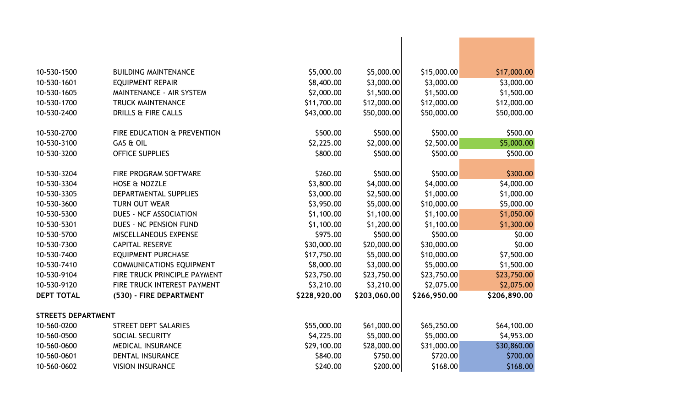| 10-530-1500               | <b>BUILDING MAINTENANCE</b>     | \$5,000.00   | \$5,000.00   | \$15,000.00  | \$17,000.00  |
|---------------------------|---------------------------------|--------------|--------------|--------------|--------------|
| 10-530-1601               | <b>EQUIPMENT REPAIR</b>         | \$8,400.00   | \$3,000.00   | \$3,000.00   | \$3,000.00   |
| 10-530-1605               | MAINTENANCE - AIR SYSTEM        | \$2,000.00   | \$1,500.00   | \$1,500.00   | \$1,500.00   |
| 10-530-1700               | <b>TRUCK MAINTENANCE</b>        | \$11,700.00  | \$12,000.00  | \$12,000.00  | \$12,000.00  |
| 10-530-2400               | <b>DRILLS &amp; FIRE CALLS</b>  | \$43,000.00  | \$50,000.00  | \$50,000.00  | \$50,000.00  |
|                           |                                 |              |              |              |              |
| 10-530-2700               | FIRE EDUCATION & PREVENTION     | \$500.00     | \$500.00     | \$500.00     | \$500.00     |
| 10-530-3100               | GAS & OIL                       | \$2,225.00   | \$2,000.00   | \$2,500.00   | \$5,000.00   |
| 10-530-3200               | <b>OFFICE SUPPLIES</b>          | \$800.00     | \$500.00     | \$500.00     | \$500.00     |
|                           |                                 |              |              |              |              |
| 10-530-3204               | FIRE PROGRAM SOFTWARE           | \$260.00     | \$500.00     | \$500.00     | \$300.00     |
| 10-530-3304               | <b>HOSE &amp; NOZZLE</b>        | \$3,800.00   | \$4,000.00   | \$4,000.00   | \$4,000.00   |
| 10-530-3305               | DEPARTMENTAL SUPPLIES           | \$3,000.00   | \$2,500.00   | \$1,000.00   | \$1,000.00   |
| 10-530-3600               | <b>TURN OUT WEAR</b>            | \$3,950.00   | \$5,000.00   | \$10,000.00  | \$5,000.00   |
| 10-530-5300               | <b>DUES - NCF ASSOCIATION</b>   | \$1,100.00   | \$1,100.00   | \$1,100.00   | \$1,050.00   |
| 10-530-5301               | DUES - NC PENSION FUND          | \$1,100.00   | \$1,200.00   | \$1,100.00   | \$1,300.00   |
| 10-530-5700               | MISCELLANEOUS EXPENSE           | \$975.00     | \$500.00     | \$500.00     | \$0.00       |
| 10-530-7300               | <b>CAPITAL RESERVE</b>          | \$30,000.00  | \$20,000.00  | \$30,000.00  | \$0.00       |
| 10-530-7400               | <b>EQUIPMENT PURCHASE</b>       | \$17,750.00  | \$5,000.00   | \$10,000.00  | \$7,500.00   |
| 10-530-7410               | <b>COMMUNICATIONS EQUIPMENT</b> | \$8,000.00   | \$3,000.00   | \$5,000.00   | \$1,500.00   |
| 10-530-9104               | FIRE TRUCK PRINCIPLE PAYMENT    | \$23,750.00  | \$23,750.00  | \$23,750.00  | \$23,750.00  |
| 10-530-9120               | FIRE TRUCK INTEREST PAYMENT     | \$3,210.00   | \$3,210.00   | \$2,075.00   | \$2,075.00   |
| <b>DEPT TOTAL</b>         | (530) - FIRE DEPARTMENT         | \$228,920.00 | \$203,060.00 | \$266,950.00 | \$206,890.00 |
|                           |                                 |              |              |              |              |
| <b>STREETS DEPARTMENT</b> |                                 |              |              |              |              |
| 10-560-0200               | <b>STREET DEPT SALARIES</b>     | \$55,000.00  | \$61,000.00  | \$65,250.00  | \$64,100.00  |
| 10-560-0500               | SOCIAL SECURITY                 | \$4,225.00   | \$5,000.00   | \$5,000.00   | \$4,953.00   |
| 10-560-0600               | <b>MEDICAL INSURANCE</b>        | \$29,100.00  | \$28,000.00  | \$31,000.00  | \$30,860.00  |
| 10-560-0601               | <b>DENTAL INSURANCE</b>         | \$840.00     | \$750.00     | \$720.00     | \$700.00     |
| 10-560-0602               | <b>VISION INSURANCE</b>         | \$240.00     | \$200.00     | \$168.00     | \$168.00     |
|                           |                                 |              |              |              |              |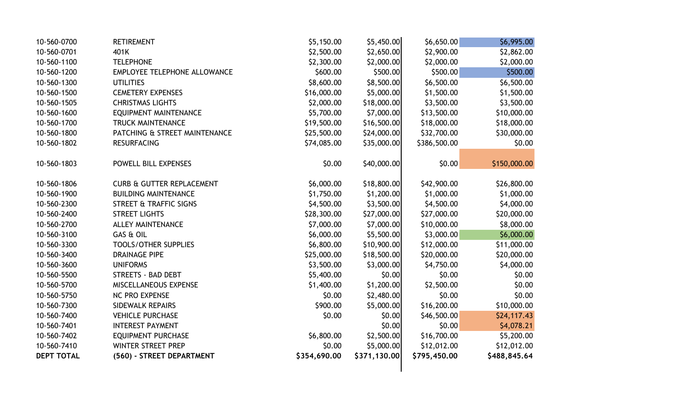| 10-560-0700       | <b>RETIREMENT</b>                    | \$5,150.00   | \$5,450.00   | \$6,650.00   | \$6,995.00   |
|-------------------|--------------------------------------|--------------|--------------|--------------|--------------|
| 10-560-0701       | 401K                                 | \$2,500.00   | \$2,650.00   | \$2,900.00   | \$2,862.00   |
| 10-560-1100       | <b>TELEPHONE</b>                     | \$2,300.00   | \$2,000.00   | \$2,000.00   | \$2,000.00   |
| 10-560-1200       | EMPLOYEE TELEPHONE ALLOWANCE         | \$600.00     | \$500.00     | \$500.00     | \$500.00     |
| 10-560-1300       | <b>UTILITIES</b>                     | \$8,600.00   | \$8,500.00   | \$6,500.00   | \$6,500.00   |
| 10-560-1500       | <b>CEMETERY EXPENSES</b>             | \$16,000.00  | \$5,000.00   | \$1,500.00   | \$1,500.00   |
| 10-560-1505       | <b>CHRISTMAS LIGHTS</b>              | \$2,000.00   | \$18,000.00  | \$3,500.00   | \$3,500.00   |
| 10-560-1600       | <b>EQUIPMENT MAINTENANCE</b>         | \$5,700.00   | \$7,000.00   | \$13,500.00  | \$10,000.00  |
| 10-560-1700       | <b>TRUCK MAINTENANCE</b>             | \$19,500.00  | \$16,500.00  | \$18,000.00  | \$18,000.00  |
| 10-560-1800       | PATCHING & STREET MAINTENANCE        | \$25,500.00  | \$24,000.00  | \$32,700.00  | \$30,000.00  |
| 10-560-1802       | <b>RESURFACING</b>                   | \$74,085.00  | \$35,000.00  | \$386,500.00 | \$0.00       |
|                   |                                      |              |              |              |              |
| 10-560-1803       | POWELL BILL EXPENSES                 | \$0.00       | \$40,000.00  | \$0.00       | \$150,000.00 |
|                   |                                      |              |              |              |              |
| 10-560-1806       | <b>CURB &amp; GUTTER REPLACEMENT</b> | \$6,000.00   | \$18,800.00  | \$42,900.00  | \$26,800.00  |
| 10-560-1900       | <b>BUILDING MAINTENANCE</b>          | \$1,750.00   | \$1,200.00   | \$1,000.00   | \$1,000.00   |
| 10-560-2300       | <b>STREET &amp; TRAFFIC SIGNS</b>    | \$4,500.00   | \$3,500.00   | \$4,500.00   | \$4,000.00   |
| 10-560-2400       | <b>STREET LIGHTS</b>                 | \$28,300.00  | \$27,000.00  | \$27,000.00  | \$20,000.00  |
| 10-560-2700       | <b>ALLEY MAINTENANCE</b>             | \$7,000.00   | \$7,000.00   | \$10,000.00  | \$8,000.00   |
| 10-560-3100       | GAS & OIL                            | \$6,000.00   | \$5,500.00   | \$3,000.00   | \$6,000.00   |
| 10-560-3300       | <b>TOOLS/OTHER SUPPLIES</b>          | \$6,800.00   | \$10,900.00  | \$12,000.00  | \$11,000.00  |
| 10-560-3400       | <b>DRAINAGE PIPE</b>                 | \$25,000.00  | \$18,500.00  | \$20,000.00  | \$20,000.00  |
| 10-560-3600       | <b>UNIFORMS</b>                      | \$3,500.00   | \$3,000.00   | \$4,750.00   | \$4,000.00   |
| 10-560-5500       | <b>STREETS - BAD DEBT</b>            | \$5,400.00   | \$0.00       | \$0.00       | \$0.00       |
| 10-560-5700       | MISCELLANEOUS EXPENSE                | \$1,400.00   | \$1,200.00   | \$2,500.00   | \$0.00       |
| 10-560-5750       | NC PRO EXPENSE                       | \$0.00       | \$2,480.00   | \$0.00       | \$0.00       |
| 10-560-7300       | SIDEWALK REPAIRS                     | \$900.00     | \$5,000.00   | \$16,200.00  | \$10,000.00  |
| 10-560-7400       | <b>VEHICLE PURCHASE</b>              | \$0.00       | \$0.00       | \$46,500.00  | \$24,117.43  |
| 10-560-7401       | <b>INTEREST PAYMENT</b>              |              | \$0.00       | \$0.00       | \$4,078.21   |
| 10-560-7402       | <b>EQUIPMENT PURCHASE</b>            | \$6,800.00   | \$2,500.00   | \$16,700.00  | \$5,200.00   |
| 10-560-7410       | <b>WINTER STREET PREP</b>            | \$0.00       | \$5,000.00   | \$12,012.00  | \$12,012.00  |
| <b>DEPT TOTAL</b> | (560) - STREET DEPARTMENT            | \$354,690.00 | \$371,130.00 | \$795,450.00 | \$488,845.64 |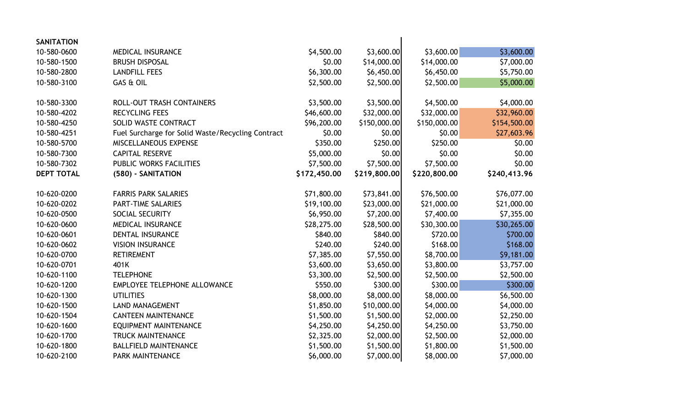| <b>SANITATION</b> |                                                   |              |              |              |              |
|-------------------|---------------------------------------------------|--------------|--------------|--------------|--------------|
| 10-580-0600       | <b>MEDICAL INSURANCE</b>                          | \$4,500.00   | \$3,600.00   | \$3,600.00   | \$3,600.00   |
| 10-580-1500       | <b>BRUSH DISPOSAL</b>                             | \$0.00       | \$14,000.00  | \$14,000.00  | \$7,000.00   |
| 10-580-2800       | <b>LANDFILL FEES</b>                              | \$6,300.00   | \$6,450.00   | \$6,450.00   | \$5,750.00   |
| 10-580-3100       | GAS & OIL                                         | \$2,500.00   | \$2,500.00   | \$2,500.00   | \$5,000.00   |
|                   |                                                   |              |              |              |              |
| 10-580-3300       | <b>ROLL-OUT TRASH CONTAINERS</b>                  | \$3,500.00   | \$3,500.00   | \$4,500.00   | \$4,000.00   |
| 10-580-4202       | <b>RECYCLING FEES</b>                             | \$46,600.00  | \$32,000.00  | \$32,000.00  | \$32,960.00  |
| 10-580-4250       | SOLID WASTE CONTRACT                              | \$96,200.00  | \$150,000.00 | \$150,000.00 | \$154,500.00 |
| 10-580-4251       | Fuel Surcharge for Solid Waste/Recycling Contract | \$0.00       | \$0.00       | \$0.00       | \$27,603.96  |
| 10-580-5700       | MISCELLANEOUS EXPENSE                             | \$350.00     | \$250.00     | \$250.00     | \$0.00       |
| 10-580-7300       | <b>CAPITAL RESERVE</b>                            | \$5,000.00   | \$0.00       | \$0.00       | \$0.00       |
| 10-580-7302       | PUBLIC WORKS FACILITIES                           | \$7,500.00   | \$7,500.00   | \$7,500.00   | \$0.00       |
| <b>DEPT TOTAL</b> | (580) - SANITATION                                | \$172,450.00 | \$219,800.00 | \$220,800.00 | \$240,413.96 |
|                   |                                                   |              |              |              |              |
| 10-620-0200       | <b>FARRIS PARK SALARIES</b>                       | \$71,800.00  | \$73,841.00  | \$76,500.00  | \$76,077.00  |
| 10-620-0202       | PART-TIME SALARIES                                | \$19,100.00  | \$23,000.00  | \$21,000.00  | \$21,000.00  |
| 10-620-0500       | SOCIAL SECURITY                                   | \$6,950.00   | \$7,200.00   | \$7,400.00   | \$7,355.00   |
| 10-620-0600       | <b>MEDICAL INSURANCE</b>                          | \$28,275.00  | \$28,500.00  | \$30,300.00  | \$30,265.00  |
| 10-620-0601       | <b>DENTAL INSURANCE</b>                           | \$840.00     | \$840.00     | \$720.00     | \$700.00     |
| 10-620-0602       | <b>VISION INSURANCE</b>                           | \$240.00     | \$240.00     | \$168.00     | \$168.00     |
| 10-620-0700       | <b>RETIREMENT</b>                                 | \$7,385.00   | \$7,550.00   | \$8,700.00   | \$9,181.00   |
| 10-620-0701       | 401K                                              | \$3,600.00   | \$3,650.00   | \$3,800.00   | \$3,757.00   |
| 10-620-1100       | <b>TELEPHONE</b>                                  | \$3,300.00   | \$2,500.00   | \$2,500.00   | \$2,500.00   |
| 10-620-1200       | EMPLOYEE TELEPHONE ALLOWANCE                      | \$550.00     | \$300.00     | \$300.00     | \$300.00     |
| 10-620-1300       | <b>UTILITIES</b>                                  | \$8,000.00   | \$8,000.00   | \$8,000.00   | \$6,500.00   |
| 10-620-1500       | <b>LAND MANAGEMENT</b>                            | \$1,850.00   | \$10,000.00  | \$4,000.00   | \$4,000.00   |
| 10-620-1504       | <b>CANTEEN MAINTENANCE</b>                        | \$1,500.00   | \$1,500.00   | \$2,000.00   | \$2,250.00   |
| 10-620-1600       | <b>EQUIPMENT MAINTENANCE</b>                      | \$4,250.00   | \$4,250.00   | \$4,250.00   | \$3,750.00   |
| 10-620-1700       | <b>TRUCK MAINTENANCE</b>                          | \$2,325.00   | \$2,000.00   | \$2,500.00   | \$2,000.00   |
| 10-620-1800       | <b>BALLFIELD MAINTENANCE</b>                      | \$1,500.00   | \$1,500.00   | \$1,800.00   | \$1,500.00   |
| 10-620-2100       | <b>PARK MAINTENANCE</b>                           | \$6,000.00   | \$7,000.00   | \$8,000.00   | \$7,000.00   |
|                   |                                                   |              |              |              |              |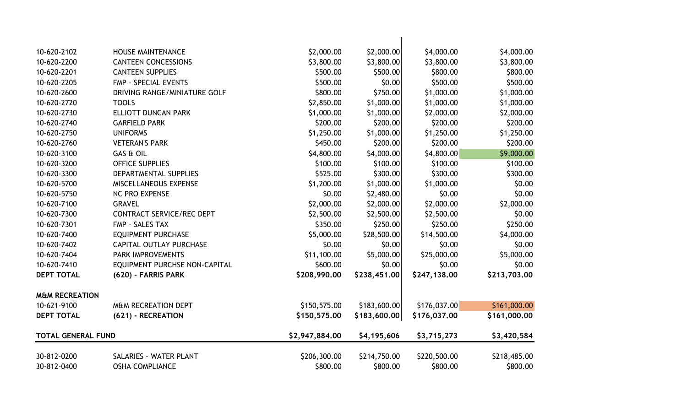| 10-620-2102               | <b>HOUSE MAINTENANCE</b>         | \$2,000.00               | \$2,000.00               | \$4,000.00               | \$4,000.00               |
|---------------------------|----------------------------------|--------------------------|--------------------------|--------------------------|--------------------------|
| 10-620-2200               | <b>CANTEEN CONCESSIONS</b>       | \$3,800.00               | \$3,800.00               | \$3,800.00               | \$3,800.00               |
| 10-620-2201               | <b>CANTEEN SUPPLIES</b>          | \$500.00                 | \$500.00                 | \$800.00                 | \$800.00                 |
| 10-620-2205               | <b>FMP - SPECIAL EVENTS</b>      | \$500.00                 | \$0.00                   | \$500.00                 | \$500.00                 |
| 10-620-2600               | DRIVING RANGE/MINIATURE GOLF     | \$800.00                 | \$750.00                 | \$1,000.00               | \$1,000.00               |
| 10-620-2720               | <b>TOOLS</b>                     | \$2,850.00               | \$1,000.00               | \$1,000.00               | \$1,000.00               |
| 10-620-2730               | <b>ELLIOTT DUNCAN PARK</b>       | \$1,000.00               | \$1,000.00               | \$2,000.00               | \$2,000.00               |
| 10-620-2740               | <b>GARFIELD PARK</b>             | \$200.00                 | \$200.00                 | \$200.00                 | \$200.00                 |
| 10-620-2750               | <b>UNIFORMS</b>                  | \$1,250.00               | \$1,000.00               | \$1,250.00               | \$1,250.00               |
| 10-620-2760               | <b>VETERAN'S PARK</b>            | \$450.00                 | \$200.00                 | \$200.00                 | \$200.00                 |
| 10-620-3100               | GAS & OIL                        | \$4,800.00               | \$4,000.00               | \$4,800.00               | \$9,000.00               |
| 10-620-3200               | <b>OFFICE SUPPLIES</b>           | \$100.00                 | \$100.00                 | \$100.00                 | \$100.00                 |
| 10-620-3300               | DEPARTMENTAL SUPPLIES            | \$525.00                 | \$300.00                 | \$300.00                 | \$300.00                 |
| 10-620-5700               | MISCELLANEOUS EXPENSE            | \$1,200.00               | \$1,000.00               | \$1,000.00               | \$0.00                   |
| 10-620-5750               | <b>NC PRO EXPENSE</b>            | \$0.00                   | \$2,480.00               | \$0.00                   | \$0.00                   |
| 10-620-7100               | <b>GRAVEL</b>                    | \$2,000.00               | \$2,000.00               | \$2,000.00               | \$2,000.00               |
| 10-620-7300               | <b>CONTRACT SERVICE/REC DEPT</b> | \$2,500.00               | \$2,500.00               | \$2,500.00               | \$0.00                   |
| 10-620-7301               | FMP - SALES TAX                  | \$350.00                 | \$250.00                 | \$250.00                 | \$250.00                 |
| 10-620-7400               | <b>EQUIPMENT PURCHASE</b>        | \$5,000.00               | \$28,500.00              | \$14,500.00              | \$4,000.00               |
| 10-620-7402               | <b>CAPITAL OUTLAY PURCHASE</b>   | \$0.00                   | \$0.00                   | \$0.00                   | \$0.00                   |
| 10-620-7404               | PARK IMPROVEMENTS                | \$11,100.00              | \$5,000.00               | \$25,000.00              | \$5,000.00               |
| 10-620-7410               | EQUIPMENT PURCHSE NON-CAPITAL    | \$600.00                 | \$0.00                   | \$0.00                   | \$0.00                   |
| <b>DEPT TOTAL</b>         | (620) - FARRIS PARK              | \$208,990.00             | \$238,451.00             | \$247,138.00             | \$213,703.00             |
| <b>M&amp;M RECREATION</b> |                                  |                          |                          |                          |                          |
| 10-621-9100               | <b>M&amp;M RECREATION DEPT</b>   | \$150,575.00             | \$183,600.00             | \$176,037.00             | \$161,000.00             |
| <b>DEPT TOTAL</b>         | (621) - RECREATION               | \$150,575.00             | \$183,600.00             | \$176,037.00             | \$161,000.00             |
| <b>TOTAL GENERAL FUND</b> |                                  | \$2,947,884.00           | \$4,195,606              | \$3,715,273              | \$3,420,584              |
| 30-812-0200               | SALARIES - WATER PLANT           |                          |                          |                          |                          |
| 30-812-0400               | <b>OSHA COMPLIANCE</b>           | \$206,300.00<br>\$800.00 | \$214,750.00<br>\$800.00 | \$220,500.00<br>\$800.00 | \$218,485.00<br>\$800.00 |
|                           |                                  |                          |                          |                          |                          |

 $\mathbf{I}$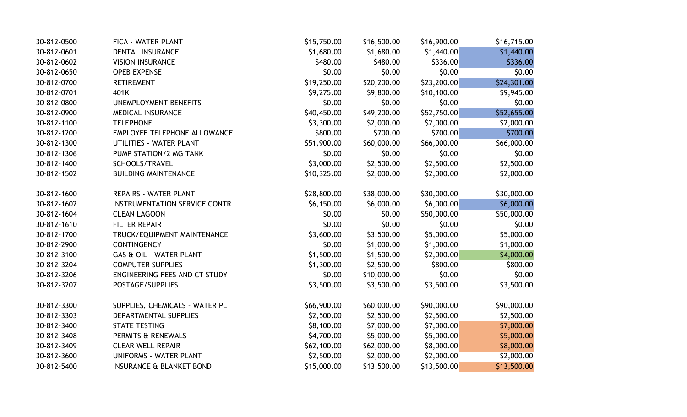| 30-812-0500 | FICA - WATER PLANT                   | \$15,750.00 | \$16,500.00 | \$16,900.00 | \$16,715.00 |
|-------------|--------------------------------------|-------------|-------------|-------------|-------------|
| 30-812-0601 | <b>DENTAL INSURANCE</b>              | \$1,680.00  | \$1,680.00  | \$1,440.00  | \$1,440.00  |
| 30-812-0602 | <b>VISION INSURANCE</b>              | \$480.00    | \$480.00    | \$336.00    | \$336.00    |
| 30-812-0650 | <b>OPEB EXPENSE</b>                  | \$0.00      | \$0.00      | \$0.00      | \$0.00      |
| 30-812-0700 | <b>RETIREMENT</b>                    | \$19,250.00 | \$20,200.00 | \$23,200.00 | \$24,301.00 |
| 30-812-0701 | 401K                                 | \$9,275.00  | \$9,800.00  | \$10,100.00 | \$9,945.00  |
| 30-812-0800 | <b>UNEMPLOYMENT BENEFITS</b>         | \$0.00      | \$0.00      | \$0.00      | \$0.00      |
| 30-812-0900 | MEDICAL INSURANCE                    | \$40,450.00 | \$49,200.00 | \$52,750.00 | \$52,655.00 |
| 30-812-1100 | <b>TELEPHONE</b>                     | \$3,300.00  | \$2,000.00  | \$2,000.00  | \$2,000.00  |
| 30-812-1200 | EMPLOYEE TELEPHONE ALLOWANCE         | \$800.00    | \$700.00    | \$700.00    | \$700.00    |
| 30-812-1300 | UTILITIES - WATER PLANT              | \$51,900.00 | \$60,000.00 | \$66,000.00 | \$66,000.00 |
| 30-812-1306 | PUMP STATION/2 MG TANK               | \$0.00      | \$0.00      | \$0.00      | \$0.00      |
| 30-812-1400 | SCHOOLS/TRAVEL                       | \$3,000.00  | \$2,500.00  | \$2,500.00  | \$2,500.00  |
| 30-812-1502 | <b>BUILDING MAINTENANCE</b>          | \$10,325.00 | \$2,000.00  | \$2,000.00  | \$2,000.00  |
|             |                                      |             |             |             |             |
| 30-812-1600 | <b>REPAIRS - WATER PLANT</b>         | \$28,800.00 | \$38,000.00 | \$30,000.00 | \$30,000.00 |
| 30-812-1602 | <b>INSTRUMENTATION SERVICE CONTR</b> | \$6,150.00  | \$6,000.00  | \$6,000.00  | \$6,000.00  |
| 30-812-1604 | <b>CLEAN LAGOON</b>                  | \$0.00      | \$0.00      | \$50,000.00 | \$50,000.00 |
| 30-812-1610 | <b>FILTER REPAIR</b>                 | \$0.00      | \$0.00      | \$0.00      | \$0.00      |
| 30-812-1700 | TRUCK/EQUIPMENT MAINTENANCE          | \$3,600.00  | \$3,500.00  | \$5,000.00  | \$5,000.00  |
| 30-812-2900 | <b>CONTINGENCY</b>                   | \$0.00      | \$1,000.00  | \$1,000.00  | \$1,000.00  |
| 30-812-3100 | GAS & OIL - WATER PLANT              | \$1,500.00  | \$1,500.00  | \$2,000.00  | \$4,000.00  |
| 30-812-3204 | <b>COMPUTER SUPPLIES</b>             | \$1,300.00  | \$2,500.00  | \$800.00    | \$800.00    |
| 30-812-3206 | ENGINEERING FEES AND CT STUDY        | \$0.00      | \$10,000.00 | \$0.00      | \$0.00      |
| 30-812-3207 | POSTAGE/SUPPLIES                     | \$3,500.00  | \$3,500.00  | \$3,500.00  | \$3,500.00  |
| 30-812-3300 | SUPPLIES, CHEMICALS - WATER PL       | \$66,900.00 | \$60,000.00 | \$90,000.00 | \$90,000.00 |
| 30-812-3303 | DEPARTMENTAL SUPPLIES                | \$2,500.00  | \$2,500.00  | \$2,500.00  | \$2,500.00  |
| 30-812-3400 | <b>STATE TESTING</b>                 | \$8,100.00  | \$7,000.00  | \$7,000.00  | \$7,000.00  |
| 30-812-3408 | PERMITS & RENEWALS                   | \$4,700.00  | \$5,000.00  | \$5,000.00  | \$5,000.00  |
| 30-812-3409 | <b>CLEAR WELL REPAIR</b>             | \$62,100.00 | \$62,000.00 | \$8,000.00  | \$8,000.00  |
| 30-812-3600 | <b>UNIFORMS - WATER PLANT</b>        | \$2,500.00  | \$2,000.00  | \$2,000.00  | \$2,000.00  |
| 30-812-5400 | <b>INSURANCE &amp; BLANKET BOND</b>  | \$15,000.00 | \$13,500.00 | \$13,500.00 | \$13,500.00 |
|             |                                      |             |             |             |             |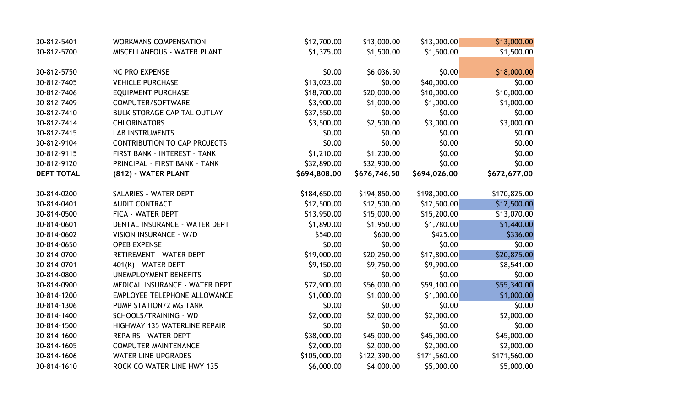| 30-812-5401       | <b>WORKMANS COMPENSATION</b>        | \$12,700.00  | \$13,000.00  | \$13,000.00  | \$13,000.00  |
|-------------------|-------------------------------------|--------------|--------------|--------------|--------------|
| 30-812-5700       | MISCELLANEOUS - WATER PLANT         | \$1,375.00   | \$1,500.00   | \$1,500.00   | \$1,500.00   |
|                   |                                     |              |              |              |              |
| 30-812-5750       | NC PRO EXPENSE                      | \$0.00       | \$6,036.50   | \$0.00       | \$18,000.00  |
| 30-812-7405       | <b>VEHICLE PURCHASE</b>             | \$13,023.00  | \$0.00       | \$40,000.00  | \$0.00       |
| 30-812-7406       | <b>EQUIPMENT PURCHASE</b>           | \$18,700.00  | \$20,000.00  | \$10,000.00  | \$10,000.00  |
| 30-812-7409       | COMPUTER/SOFTWARE                   | \$3,900.00   | \$1,000.00   | \$1,000.00   | \$1,000.00   |
| 30-812-7410       | <b>BULK STORAGE CAPITAL OUTLAY</b>  | \$37,550.00  | \$0.00       | \$0.00       | \$0.00       |
| 30-812-7414       | <b>CHLORINATORS</b>                 | \$3,500.00   | \$2,500.00   | \$3,000.00   | \$3,000.00   |
| 30-812-7415       | <b>LAB INSTRUMENTS</b>              | \$0.00       | \$0.00       | \$0.00       | \$0.00       |
| 30-812-9104       | <b>CONTRIBUTION TO CAP PROJECTS</b> | \$0.00       | \$0.00       | \$0.00       | \$0.00       |
| 30-812-9115       | FIRST BANK - INTEREST - TANK        | \$1,210.00   | \$1,200.00   | \$0.00       | \$0.00       |
| 30-812-9120       | PRINCIPAL - FIRST BANK - TANK       | \$32,890.00  | \$32,900.00  | \$0.00       | \$0.00       |
| <b>DEPT TOTAL</b> | (812) - WATER PLANT                 | \$694,808.00 | \$676,746.50 | \$694,026.00 | \$672,677.00 |
|                   |                                     |              |              |              |              |
| 30-814-0200       | SALARIES - WATER DEPT               | \$184,650.00 | \$194,850.00 | \$198,000.00 | \$170,825.00 |
| 30-814-0401       | <b>AUDIT CONTRACT</b>               | \$12,500.00  | \$12,500.00  | \$12,500.00  | \$12,500.00  |
| 30-814-0500       | FICA - WATER DEPT                   | \$13,950.00  | \$15,000.00  | \$15,200.00  | \$13,070.00  |
| 30-814-0601       | DENTAL INSURANCE - WATER DEPT       | \$1,890.00   | \$1,950.00   | \$1,780.00   | \$1,440.00   |
| 30-814-0602       | VISION INSURANCE - W/D              | \$540.00     | \$600.00     | \$425.00     | \$336.00     |
| 30-814-0650       | <b>OPEB EXPENSE</b>                 | \$0.00       | \$0.00       | \$0.00       | \$0.00       |
| 30-814-0700       | RETIREMENT - WATER DEPT             | \$19,000.00  | \$20,250.00  | \$17,800.00  | \$20,875.00  |
| 30-814-0701       | 401(K) - WATER DEPT                 | \$9,150.00   | \$9,750.00   | \$9,900.00   | \$8,541.00   |
| 30-814-0800       | <b>UNEMPLOYMENT BENEFITS</b>        | \$0.00       | \$0.00       | \$0.00       | \$0.00       |
| 30-814-0900       | MEDICAL INSURANCE - WATER DEPT      | \$72,900.00  | \$56,000.00  | \$59,100.00  | \$55,340.00  |
| 30-814-1200       | EMPLOYEE TELEPHONE ALLOWANCE        | \$1,000.00   | \$1,000.00   | \$1,000.00   | \$1,000.00   |
| 30-814-1306       | PUMP STATION/2 MG TANK              | \$0.00       | \$0.00       | \$0.00       | \$0.00       |
| 30-814-1400       | SCHOOLS/TRAINING - WD               | \$2,000.00   | \$2,000.00   | \$2,000.00   | \$2,000.00   |
| 30-814-1500       | HIGHWAY 135 WATERLINE REPAIR        | \$0.00       | \$0.00       | \$0.00       | \$0.00       |
| 30-814-1600       | REPAIRS - WATER DEPT                | \$38,000.00  | \$45,000.00  | \$45,000.00  | \$45,000.00  |
| 30-814-1605       | <b>COMPUTER MAINTENANCE</b>         | \$2,000.00   | \$2,000.00   | \$2,000.00   | \$2,000.00   |
| 30-814-1606       | <b>WATER LINE UPGRADES</b>          | \$105,000.00 | \$122,390.00 | \$171,560.00 | \$171,560.00 |
| 30-814-1610       | ROCK CO WATER LINE HWY 135          | \$6,000.00   | \$4,000.00   | \$5,000.00   | \$5,000.00   |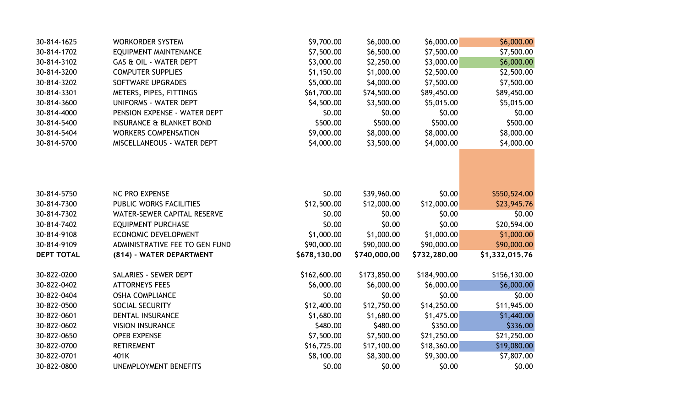| 30-814-1625       | <b>WORKORDER SYSTEM</b>             | \$9,700.00   | \$6,000.00   | \$6,000.00   | \$6,000.00     |
|-------------------|-------------------------------------|--------------|--------------|--------------|----------------|
| 30-814-1702       | EQUIPMENT MAINTENANCE               | \$7,500.00   | \$6,500.00   | \$7,500.00   | \$7,500.00     |
| 30-814-3102       | GAS & OIL - WATER DEPT              | \$3,000.00   | \$2,250.00   | \$3,000.00   | \$6,000.00     |
| 30-814-3200       | <b>COMPUTER SUPPLIES</b>            | \$1,150.00   | \$1,000.00   | \$2,500.00   | \$2,500.00     |
| 30-814-3202       | SOFTWARE UPGRADES                   | \$5,000.00   | \$4,000.00   | \$7,500.00   | \$7,500.00     |
| 30-814-3301       | METERS, PIPES, FITTINGS             | \$61,700.00  | \$74,500.00  | \$89,450.00  | \$89,450.00    |
| 30-814-3600       | <b>UNIFORMS - WATER DEPT</b>        | \$4,500.00   | \$3,500.00   | \$5,015.00   | \$5,015.00     |
| 30-814-4000       | PENSION EXPENSE - WATER DEPT        | \$0.00       | \$0.00       | \$0.00       | \$0.00         |
| 30-814-5400       | <b>INSURANCE &amp; BLANKET BOND</b> | \$500.00     | \$500.00     | \$500.00     | \$500.00       |
| 30-814-5404       | <b>WORKERS COMPENSATION</b>         | \$9,000.00   | \$8,000.00   | \$8,000.00   | \$8,000.00     |
| 30-814-5700       | MISCELLANEOUS - WATER DEPT          | \$4,000.00   | \$3,500.00   | \$4,000.00   | \$4,000.00     |
|                   |                                     |              |              |              |                |
| 30-814-5750       | <b>NC PRO EXPENSE</b>               | \$0.00       | \$39,960.00  | \$0.00       | \$550,524.00   |
| 30-814-7300       | PUBLIC WORKS FACILITIES             | \$12,500.00  | \$12,000.00  | \$12,000.00  | \$23,945.76    |
| 30-814-7302       | <b>WATER-SEWER CAPITAL RESERVE</b>  | \$0.00       | \$0.00       | \$0.00       | \$0.00         |
| 30-814-7402       | <b>EQUIPMENT PURCHASE</b>           | \$0.00       | \$0.00       | \$0.00       | \$20,594.00    |
| 30-814-9108       | <b>ECONOMIC DEVELOPMENT</b>         | \$1,000.00   | \$1,000.00   | \$1,000.00   | \$1,000.00     |
| 30-814-9109       | ADMINISTRATIVE FEE TO GEN FUND      | \$90,000.00  | \$90,000.00  | \$90,000.00  | \$90,000.00    |
| <b>DEPT TOTAL</b> | (814) - WATER DEPARTMENT            | \$678,130.00 | \$740,000.00 | \$732,280.00 | \$1,332,015.76 |
| 30-822-0200       | SALARIES - SEWER DEPT               | \$162,600.00 | \$173,850.00 | \$184,900.00 | \$156,130.00   |
| 30-822-0402       | <b>ATTORNEYS FEES</b>               | \$6,000.00   | \$6,000.00   | \$6,000.00   | \$6,000.00     |
| 30-822-0404       | <b>OSHA COMPLIANCE</b>              | \$0.00       | \$0.00       | \$0.00       | \$0.00         |
| 30-822-0500       | SOCIAL SECURITY                     | \$12,400.00  | \$12,750.00  | \$14,250.00  | \$11,945.00    |
| 30-822-0601       | <b>DENTAL INSURANCE</b>             | \$1,680.00   | \$1,680.00   | \$1,475.00   | \$1,440.00     |
| 30-822-0602       | <b>VISION INSURANCE</b>             | \$480.00     | \$480.00     | \$350.00     | \$336.00       |
| 30-822-0650       | <b>OPEB EXPENSE</b>                 | \$7,500.00   | \$7,500.00   | \$21,250.00  | \$21,250.00    |
| 30-822-0700       | <b>RETIREMENT</b>                   | \$16,725.00  | \$17,100.00  | \$18,360.00  | \$19,080.00    |
| 30-822-0701       | 401K                                | \$8,100.00   | \$8,300.00   | \$9,300.00   | \$7,807.00     |
| 30-822-0800       | UNEMPLOYMENT BENEFITS               | \$0.00       | \$0.00       | \$0.00       | \$0.00         |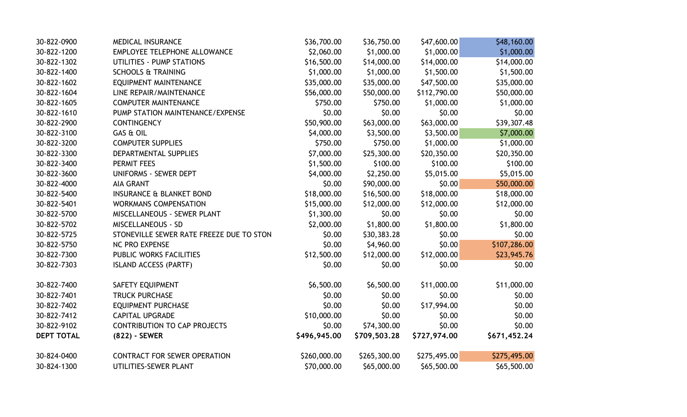| 30-822-0900       | <b>MEDICAL INSURANCE</b>                 | \$36,700.00  | \$36,750.00  | \$47,600.00  | \$48,160.00  |
|-------------------|------------------------------------------|--------------|--------------|--------------|--------------|
| 30-822-1200       | EMPLOYEE TELEPHONE ALLOWANCE             | \$2,060.00   | \$1,000.00   | \$1,000.00   | \$1,000.00   |
| 30-822-1302       | UTILITIES - PUMP STATIONS                | \$16,500.00  | \$14,000.00  | \$14,000.00  | \$14,000.00  |
| 30-822-1400       | <b>SCHOOLS &amp; TRAINING</b>            | \$1,000.00   | \$1,000.00   | \$1,500.00   | \$1,500.00   |
| 30-822-1602       | EQUIPMENT MAINTENANCE                    | \$35,000.00  | \$35,000.00  | \$47,500.00  | \$35,000.00  |
| 30-822-1604       | LINE REPAIR/MAINTENANCE                  | \$56,000.00  | \$50,000.00  | \$112,790.00 | \$50,000.00  |
| 30-822-1605       | <b>COMPUTER MAINTENANCE</b>              | \$750.00     | \$750.00     | \$1,000.00   | \$1,000.00   |
| 30-822-1610       | PUMP STATION MAINTENANCE/EXPENSE         | \$0.00       | \$0.00       | \$0.00       | \$0.00       |
| 30-822-2900       | <b>CONTINGENCY</b>                       | \$50,900.00  | \$63,000.00  | \$63,000.00  | \$39,307.48  |
| 30-822-3100       | <b>GAS &amp; OIL</b>                     | \$4,000.00   | \$3,500.00   | \$3,500.00   | \$7,000.00   |
| 30-822-3200       | <b>COMPUTER SUPPLIES</b>                 | \$750.00     | \$750.00     | \$1,000.00   | \$1,000.00   |
| 30-822-3300       | DEPARTMENTAL SUPPLIES                    | \$7,000.00   | \$25,300.00  | \$20,350.00  | \$20,350.00  |
| 30-822-3400       | <b>PERMIT FEES</b>                       | \$1,500.00   | \$100.00     | \$100.00     | \$100.00     |
| 30-822-3600       | <b>UNIFORMS - SEWER DEPT</b>             | \$4,000.00   | \$2,250.00   | \$5,015.00   | \$5,015.00   |
| 30-822-4000       | <b>AIA GRANT</b>                         | \$0.00       | \$90,000.00  | \$0.00       | \$50,000.00  |
| 30-822-5400       | <b>INSURANCE &amp; BLANKET BOND</b>      | \$18,000.00  | \$16,500.00  | \$18,000.00  | \$18,000.00  |
| 30-822-5401       | <b>WORKMANS COMPENSATION</b>             | \$15,000.00  | \$12,000.00  | \$12,000.00  | \$12,000.00  |
| 30-822-5700       | MISCELLANEOUS - SEWER PLANT              | \$1,300.00   | \$0.00       | \$0.00       | \$0.00       |
| 30-822-5702       | <b>MISCELLANEOUS - SD</b>                | \$2,000.00   | \$1,800.00   | \$1,800.00   | \$1,800.00   |
| 30-822-5725       | STONEVILLE SEWER RATE FREEZE DUE TO STON | \$0.00       | \$30,383.28  | \$0.00       | \$0.00       |
| 30-822-5750       | <b>NC PRO EXPENSE</b>                    | \$0.00       | \$4,960.00   | \$0.00       | \$107,286.00 |
| 30-822-7300       | PUBLIC WORKS FACILITIES                  | \$12,500.00  | \$12,000.00  | \$12,000.00  | \$23,945.76  |
| 30-822-7303       | <b>ISLAND ACCESS (PARTF)</b>             | \$0.00       | \$0.00       | \$0.00       | \$0.00       |
| 30-822-7400       | SAFETY EQUIPMENT                         | \$6,500.00   | \$6,500.00   | \$11,000.00  | \$11,000.00  |
| 30-822-7401       | <b>TRUCK PURCHASE</b>                    | \$0.00       | \$0.00       | \$0.00       | \$0.00       |
| 30-822-7402       | <b>EQUIPMENT PURCHASE</b>                | \$0.00       | \$0.00       | \$17,994.00  | \$0.00       |
| 30-822-7412       | <b>CAPITAL UPGRADE</b>                   | \$10,000.00  | \$0.00       | \$0.00       | \$0.00       |
| 30-822-9102       | <b>CONTRIBUTION TO CAP PROJECTS</b>      | \$0.00       | \$74,300.00  | \$0.00       | \$0.00       |
| <b>DEPT TOTAL</b> | (822) - SEWER                            | \$496,945.00 | \$709,503.28 | \$727,974.00 | \$671,452.24 |
| 30-824-0400       | <b>CONTRACT FOR SEWER OPERATION</b>      | \$260,000.00 | \$265,300.00 | \$275,495.00 | \$275,495.00 |
| 30-824-1300       | UTILITIES-SEWER PLANT                    | \$70,000.00  | \$65,000.00  | \$65,500.00  | \$65,500.00  |